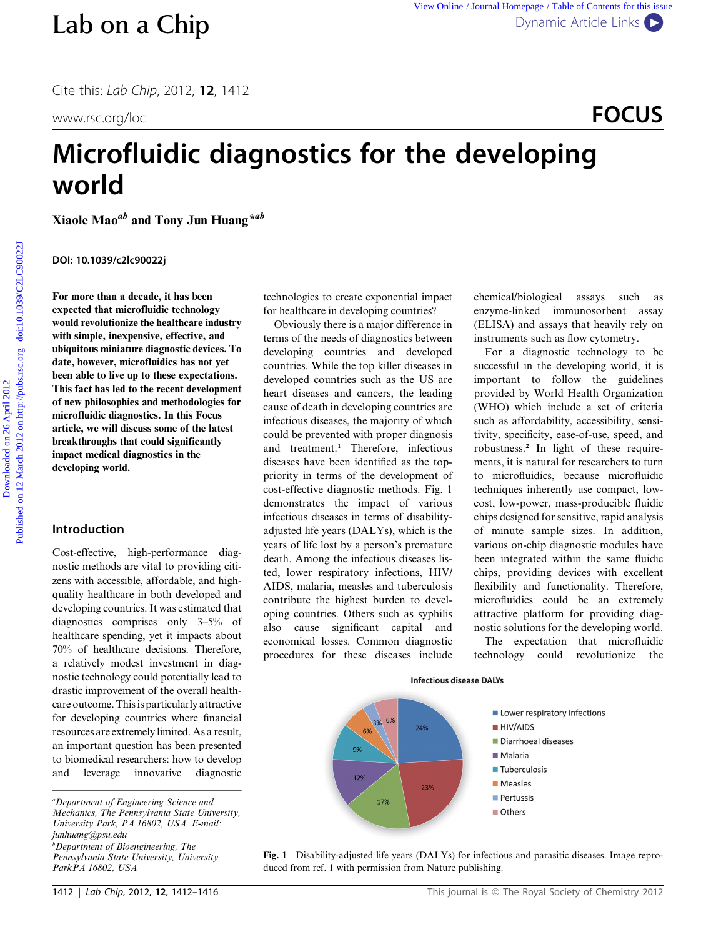Cite this: Lab Chip, 2012, <sup>12</sup>, 1412

# Microfluidic diagnostics for the developing world

Xiaole Mao<sup>ab</sup> and Tony Jun Huang<sup>\*ab</sup>

DOI: 10.1039/c2lc90022j

For more than a decade, it has been expected that microfluidic technology would revolutionize the healthcare industry with simple, inexpensive, effective, and ubiquitous miniature diagnostic devices. To date, however, microfluidics has not yet been able to live up to these expectations. This fact has led to the recent development of new philosophies and methodologies for microfluidic diagnostics. In this Focus article, we will discuss some of the latest breakthroughs that could significantly impact medical diagnostics in the developing world.

### Introduction

Cost-effective, high-performance diagnostic methods are vital to providing citizens with accessible, affordable, and highquality healthcare in both developed and developing countries. It was estimated that diagnostics comprises only 3–5% of healthcare spending, yet it impacts about 70% of healthcare decisions. Therefore, a relatively modest investment in diagnostic technology could potentially lead to drastic improvement of the overall healthcare outcome. This is particularly attractive for developing countries where financial resources are extremely limited. As a result, an important question has been presented to biomedical researchers: how to develop and leverage innovative diagnostic

a Department of Engineering Science and Mechanics, The Pennsylvania State University, University Park, PA 16802, USA. E-mail: junhuang@psu.edu

b Department of Bioengineering, The Pennsylvania State University, University ParkPA 16802, USA

technologies to create exponential impact for healthcare in developing countries?

Obviously there is a major difference in terms of the needs of diagnostics between developing countries and developed countries. While the top killer diseases in developed countries such as the US are heart diseases and cancers, the leading cause of death in developing countries are infectious diseases, the majority of which could be prevented with proper diagnosis and treatment.<sup>1</sup> Therefore, infectious diseases have been identified as the toppriority in terms of the development of cost-effective diagnostic methods. Fig. 1 demonstrates the impact of various infectious diseases in terms of disabilityadjusted life years (DALYs), which is the years of life lost by a person's premature death. Among the infectious diseases listed, lower respiratory infections, HIV/ AIDS, malaria, measles and tuberculosis contribute the highest burden to developing countries. Others such as syphilis also cause significant capital and economical losses. Common diagnostic procedures for these diseases include Lab on a Chip<br>
Circ risk *leb* Chip, 2012 12, 1412<br>
www.rc.org/loc<br>
Microfluidic diagnostics for the developing<br>
World<br>
Nine March 2012 Julian Research 2013<br>
Dot to 1039/C2LOg and Tony Jun Hung <sup>the d</sup><br>
Dot to 1039/C2LOg

chemical/biological assays such as enzyme-linked immunosorbent assay (ELISA) and assays that heavily rely on instruments such as flow cytometry.

For a diagnostic technology to be successful in the developing world, it is important to follow the guidelines provided by World Health Organization (WHO) which include a set of criteria such as affordability, accessibility, sensitivity, specificity, ease-of-use, speed, and robustness.<sup>2</sup> In light of these requirements, it is natural for researchers to turn to microfluidics, because microfluidic techniques inherently use compact, lowcost, low-power, mass-producible fluidic chips designed for sensitive, rapid analysis of minute sample sizes. In addition, various on-chip diagnostic modules have been integrated within the same fluidic chips, providing devices with excellent flexibility and functionality. Therefore, microfluidics could be an extremely attractive platform for providing diagnostic solutions for the developing world.

The expectation that microfluidic technology could revolutionize the

#### **Infectious disease DALYs**



Fig. 1 Disability-adjusted life years (DALYs) for infectious and parasitic diseases. Image reproduced from ref. 1 with permission from Nature publishing.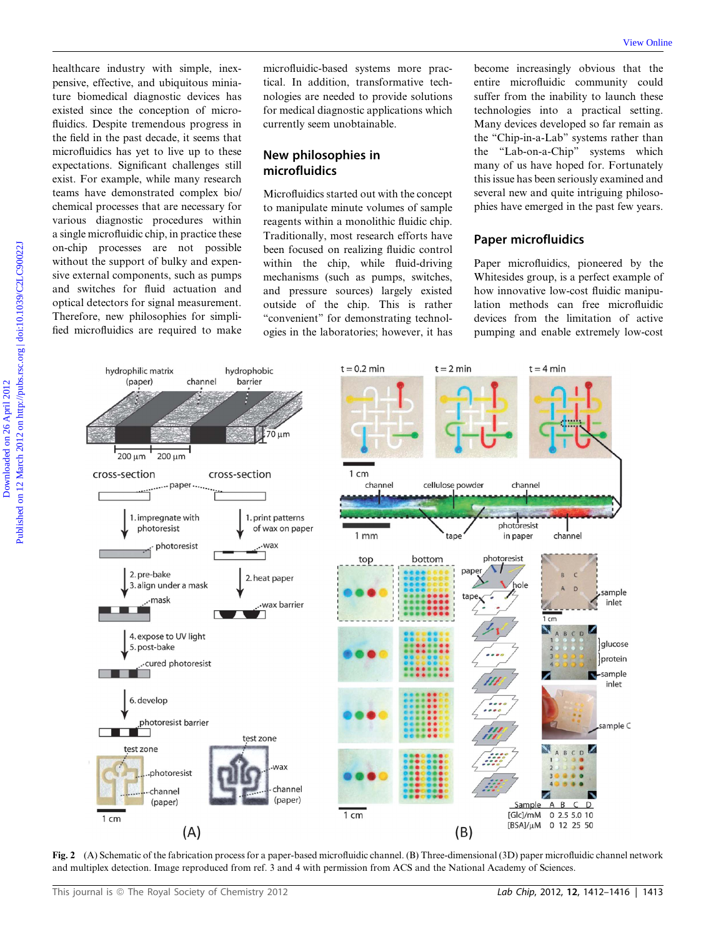healthcare industry with simple, inexpensive, effective, and ubiquitous miniature biomedical diagnostic devices has existed since the conception of microfluidics. Despite tremendous progress in the field in the past decade, it seems that microfluidics has yet to live up to these expectations. Significant challenges still exist. For example, while many research teams have demonstrated complex bio/ chemical processes that are necessary for various diagnostic procedures within a single microfluidic chip, in practice these on-chip processes are not possible without the support of bulky and expensive external components, such as pumps and switches for fluid actuation and optical detectors for signal measurement. Therefore, new philosophies for simplified microfluidics are required to make

microfluidic-based systems more practical. In addition, transformative technologies are needed to provide solutions for medical diagnostic applications which currently seem unobtainable.

# New philosophies in microfluidics

Microfluidics started out with the concept to manipulate minute volumes of sample reagents within a monolithic fluidic chip. Traditionally, most research efforts have been focused on realizing fluidic control within the chip, while fluid-driving mechanisms (such as pumps, switches, and pressure sources) largely existed outside of the chip. This is rather ''convenient'' for demonstrating technologies in the laboratories; however, it has

become increasingly obvious that the entire microfluidic community could suffer from the inability to launch these technologies into a practical setting. Many devices developed so far remain as the "Chip-in-a-Lab" systems rather than the ''Lab-on-a-Chip'' systems which many of us have hoped for. Fortunately this issue has been seriously examined and several new and quite intriguing philosophies have emerged in the past few years.

# Paper microfluidics

Paper microfluidics, pioneered by the Whitesides group, is a perfect example of how innovative low-cost fluidic manipulation methods can free microfluidic devices from the limitation of active pumping and enable extremely low-cost



Fig. 2 (A) Schematic of the fabrication process for a paper-based microfluidic channel. (B) Three-dimensional (3D) paper microfluidic channel network and multiplex detection. Image reproduced from ref. 3 and 4 with permission from ACS and the National Academy of Sciences.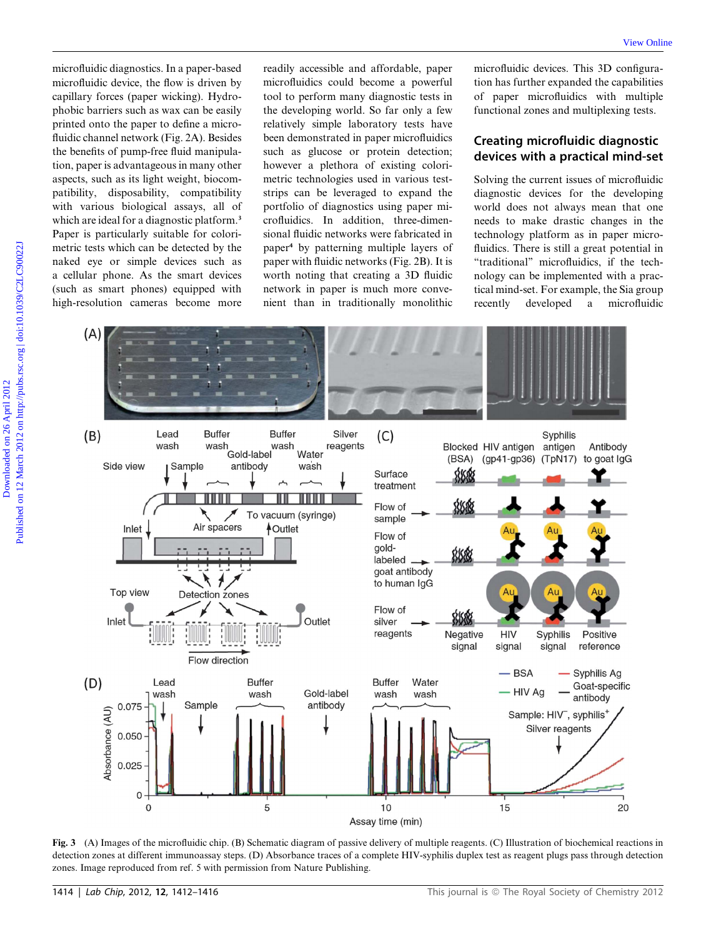microfluidic diagnostics. In a paper-based microfluidic device, the flow is driven by capillary forces (paper wicking). Hydrophobic barriers such as wax can be easily printed onto the paper to define a microfluidic channel network (Fig. 2A). Besides the benefits of pump-free fluid manipulation, paper is advantageous in many other aspects, such as its light weight, biocompatibility, disposability, compatibility with various biological assays, all of which are ideal for a diagnostic platform.<sup>3</sup> Paper is particularly suitable for colorimetric tests which can be detected by the naked eye or simple devices such as a cellular phone. As the smart devices (such as smart phones) equipped with high-resolution cameras become more

readily accessible and affordable, paper microfluidics could become a powerful tool to perform many diagnostic tests in the developing world. So far only a few relatively simple laboratory tests have been demonstrated in paper microfluidics such as glucose or protein detection; however a plethora of existing colorimetric technologies used in various teststrips can be leveraged to expand the portfolio of diagnostics using paper microfluidics. In addition, three-dimensional fluidic networks were fabricated in paper<sup>4</sup> by patterning multiple layers of paper with fluidic networks (Fig. 2B). It is worth noting that creating a 3D fluidic network in paper is much more convenient than in traditionally monolithic microfluidic devices. This 3D configuration has further expanded the capabilities of paper microfluidics with multiple functional zones and multiplexing tests.

## Creating microfluidic diagnostic devices with a practical mind-set

Solving the current issues of microfluidic diagnostic devices for the developing world does not always mean that one needs to make drastic changes in the technology platform as in paper microfluidics. There is still a great potential in ''traditional'' microfluidics, if the technology can be implemented with a practical mind-set. For example, the Sia group recently developed a microfluidic



Fig. 3 (A) Images of the microfluidic chip. (B) Schematic diagram of passive delivery of multiple reagents. (C) Illustration of biochemical reactions in detection zones at different immunoassay steps. (D) Absorbance traces of a complete HIV-syphilis duplex test as reagent plugs pass through detection zones. Image reproduced from ref. 5 with permission from Nature Publishing.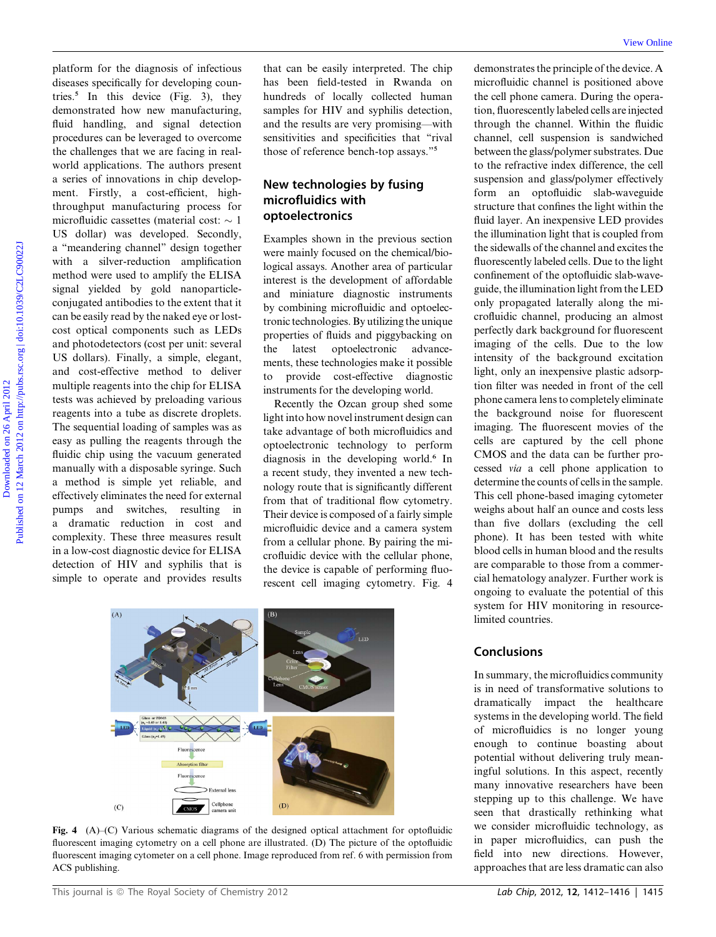platform for the diagnosis of infectious diseases specifically for developing countries.<sup>5</sup> In this device  $(Fig. 3)$ , they demonstrated how new manufacturing, fluid handling, and signal detection procedures can be leveraged to overcome the challenges that we are facing in realworld applications. The authors present a series of innovations in chip development. Firstly, a cost-efficient, highthroughput manufacturing process for microfluidic cassettes (material cost:  $\sim$  1 US dollar) was developed. Secondly, a ''meandering channel'' design together with a silver-reduction amplification method were used to amplify the ELISA signal yielded by gold nanoparticleconjugated antibodies to the extent that it can be easily read by the naked eye or lostcost optical components such as LEDs and photodetectors (cost per unit: several US dollars). Finally, a simple, elegant, and cost-effective method to deliver multiple reagents into the chip for ELISA tests was achieved by preloading various reagents into a tube as discrete droplets. The sequential loading of samples was as easy as pulling the reagents through the fluidic chip using the vacuum generated manually with a disposable syringe. Such a method is simple yet reliable, and effectively eliminates the need for external pumps and switches, resulting in a dramatic reduction in cost and complexity. These three measures result in a low-cost diagnostic device for ELISA detection of HIV and syphilis that is

simple to operate and provides results

that can be easily interpreted. The chip has been field-tested in Rwanda on hundreds of locally collected human samples for HIV and syphilis detection, and the results are very promising—with sensitivities and specificities that "rival those of reference bench-top assays.''<sup>5</sup>

# New technologies by fusing microfluidics with optoelectronics

Examples shown in the previous section were mainly focused on the chemical/biological assays. Another area of particular interest is the development of affordable and miniature diagnostic instruments by combining microfluidic and optoelectronic technologies. By utilizing the unique properties of fluids and piggybacking on the latest optoelectronic advancements, these technologies make it possible to provide cost-effective diagnostic instruments for the developing world.

Recently the Ozcan group shed some light into how novel instrument design can take advantage of both microfluidics and optoelectronic technology to perform diagnosis in the developing world.<sup>6</sup> In a recent study, they invented a new technology route that is significantly different from that of traditional flow cytometry. Their device is composed of a fairly simple microfluidic device and a camera system from a cellular phone. By pairing the microfluidic device with the cellular phone, the device is capable of performing fluorescent cell imaging cytometry. Fig. 4



Fig. 4 (A)–(C) Various schematic diagrams of the designed optical attachment for optofluidic fluorescent imaging cytometry on a cell phone are illustrated. (D) The picture of the optofluidic fluorescent imaging cytometer on a cell phone. Image reproduced from ref. 6 with permission from ACS publishing.

demonstrates the principle of the device. A microfluidic channel is positioned above the cell phone camera. During the operation, fluorescently labeled cells are injected through the channel. Within the fluidic channel, cell suspension is sandwiched between the glass/polymer substrates. Due to the refractive index difference, the cell suspension and glass/polymer effectively form an optofluidic slab-waveguide structure that confines the light within the fluid layer. An inexpensive LED provides the illumination light that is coupled from the sidewalls of the channel and excites the fluorescently labeled cells. Due to the light confinement of the optofluidic slab-waveguide, the illumination light from the LED only propagated laterally along the microfluidic channel, producing an almost perfectly dark background for fluorescent imaging of the cells. Due to the low intensity of the background excitation light, only an inexpensive plastic adsorption filter was needed in front of the cell phone camera lens to completely eliminate the background noise for fluorescent imaging. The fluorescent movies of the cells are captured by the cell phone CMOS and the data can be further processed via a cell phone application to determine the counts of cells in the sample. This cell phone-based imaging cytometer weighs about half an ounce and costs less than five dollars (excluding the cell phone). It has been tested with white blood cells in human blood and the results are comparable to those from a commercial hematology analyzer. Further work is ongoing to evaluate the potential of this system for HIV monitoring in resourcelimited countries. relations for the disgress) of inducials. That can be used) intermedial The object domained on price of the distributed on the controllation on heriodical controllations of the distributed on the controllations of the dis

### **Conclusions**

In summary, the microfluidics community is in need of transformative solutions to dramatically impact the healthcare systems in the developing world. The field of microfluidics is no longer young enough to continue boasting about potential without delivering truly meaningful solutions. In this aspect, recently many innovative researchers have been stepping up to this challenge. We have seen that drastically rethinking what we consider microfluidic technology, as in paper microfluidics, can push the field into new directions. However, approaches that are less dramatic can also